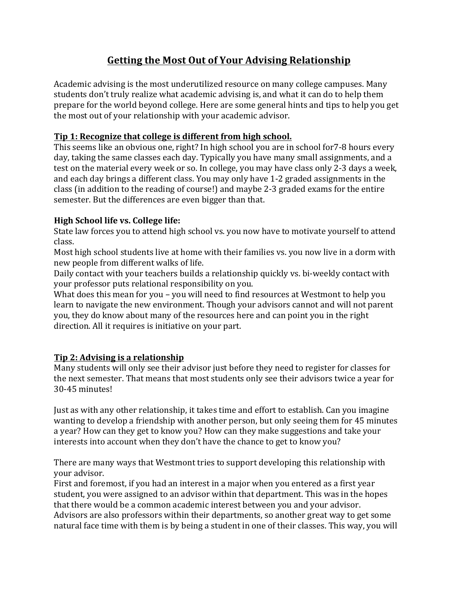# **Getting the Most Out of Your Advising Relationship**

Academic advising is the most underutilized resource on many college campuses. Many students don't truly realize what academic advising is, and what it can do to help them prepare for the world beyond college. Here are some general hints and tips to help you get the most out of your relationship with your academic advisor.

#### **Tip 1: Recognize that college is different from high school.**

This seems like an obvious one, right? In high school you are in school for 7-8 hours every day, taking the same classes each day. Typically you have many small assignments, and a test on the material every week or so. In college, you may have class only 2-3 days a week, and each day brings a different class. You may only have 1-2 graded assignments in the class (in addition to the reading of course!) and maybe 2-3 graded exams for the entire semester. But the differences are even bigger than that.

#### **High School life vs. College life:**

State law forces you to attend high school vs. you now have to motivate yourself to attend class.

Most high school students live at home with their families vs. you now live in a dorm with new people from different walks of life.

Daily contact with your teachers builds a relationship quickly vs. bi-weekly contact with your professor puts relational responsibility on you.

What does this mean for you – you will need to find resources at Westmont to help you learn to navigate the new environment. Though your advisors cannot and will not parent you, they do know about many of the resources here and can point you in the right direction. All it requires is initiative on your part.

## **Tip 2: Advising is a relationship**

Many students will only see their advisor just before they need to register for classes for the next semester. That means that most students only see their advisors twice a year for 30-45 minutes!

Just as with any other relationship, it takes time and effort to establish. Can you imagine wanting to develop a friendship with another person, but only seeing them for 45 minutes a year? How can they get to know you? How can they make suggestions and take your interests into account when they don't have the chance to get to know you?

There are many ways that Westmont tries to support developing this relationship with vour advisor.

First and foremost, if you had an interest in a major when you entered as a first year student, you were assigned to an advisor within that department. This was in the hopes that there would be a common academic interest between you and your advisor. Advisors are also professors within their departments, so another great way to get some natural face time with them is by being a student in one of their classes. This way, you will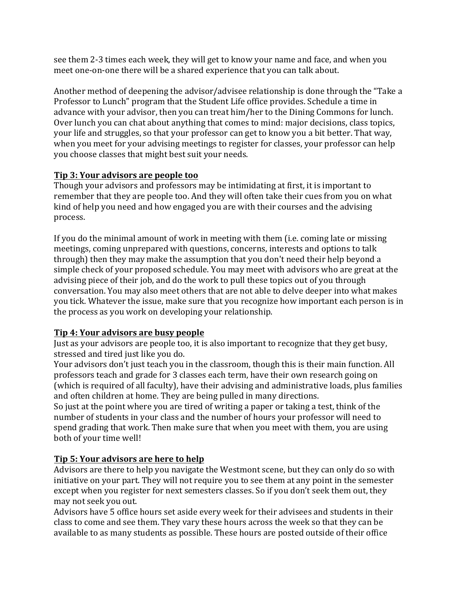see them 2-3 times each week, they will get to know your name and face, and when you meet one-on-one there will be a shared experience that you can talk about.

Another method of deepening the advisor/advisee relationship is done through the "Take a Professor to Lunch" program that the Student Life office provides. Schedule a time in advance with your advisor, then you can treat him/her to the Dining Commons for lunch. Over lunch you can chat about anything that comes to mind: major decisions, class topics, your life and struggles, so that your professor can get to know you a bit better. That way, when you meet for your advising meetings to register for classes, your professor can help you choose classes that might best suit your needs.

#### **Tip 3: Your advisors are people too**

Though your advisors and professors may be intimidating at first, it is important to remember that they are people too. And they will often take their cues from you on what kind of help you need and how engaged you are with their courses and the advising process.

If you do the minimal amount of work in meeting with them (i.e. coming late or missing meetings, coming unprepared with questions, concerns, interests and options to talk through) then they may make the assumption that you don't need their help beyond a simple check of your proposed schedule. You may meet with advisors who are great at the advising piece of their job, and do the work to pull these topics out of you through conversation. You may also meet others that are not able to delve deeper into what makes you tick. Whatever the issue, make sure that you recognize how important each person is in the process as you work on developing your relationship.

## **Tip 4: Your advisors are busy people**

lust as your advisors are people too, it is also important to recognize that they get busy, stressed and tired just like you do.

Your advisors don't just teach you in the classroom, though this is their main function. All professors teach and grade for 3 classes each term, have their own research going on (which is required of all faculty), have their advising and administrative loads, plus families and often children at home. They are being pulled in many directions.

So just at the point where you are tired of writing a paper or taking a test, think of the number of students in your class and the number of hours your professor will need to spend grading that work. Then make sure that when you meet with them, you are using both of your time well!

## **Tip 5: Your advisors are here to help**

Advisors are there to help you navigate the Westmont scene, but they can only do so with initiative on your part. They will not require you to see them at any point in the semester except when you register for next semesters classes. So if you don't seek them out, they may not seek you out.

Advisors have 5 office hours set aside every week for their advisees and students in their class to come and see them. They vary these hours across the week so that they can be available to as many students as possible. These hours are posted outside of their office